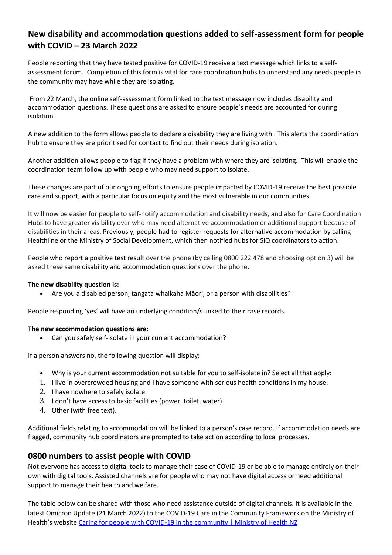# **New disability and accommodation questions added to self-assessment form for people with COVID – 23 March 2022**

People reporting that they have tested positive for COVID-19 receive a text message which links to a selfassessment forum. Completion of this form is vital for care coordination hubs to understand any needs people in the community may have while they are isolating.

From 22 March, the online self-assessment form linked to the text message now includes disability and accommodation questions. These questions are asked to ensure people's needs are accounted for during isolation.

A new addition to the form allows people to declare a disability they are living with. This alerts the coordination hub to ensure they are prioritised for contact to find out their needs during isolation.

Another addition allows people to flag if they have a problem with where they are isolating. This will enable the coordination team follow up with people who may need support to isolate.

These changes are part of our ongoing efforts to ensure people impacted by COVID-19 receive the best possible care and support, with a particular focus on equity and the most vulnerable in our communities.

It will now be easier for people to self-notify accommodation and disability needs, and also for Care Coordination Hubs to have greater visibility over who may need alternative accommodation or additional support because of disabilities in their areas. Previously, people had to register requests for alternative accommodation by calling Healthline or the Ministry of Social Development, which then notified hubs for SIQ coordinators to action.

People who report a positive test result over the phone (by calling 0800 222 478 and choosing option 3) will be asked these same disability and accommodation questions over the phone.

## **The new disability question is:**

Are you a disabled person, tangata whaikaha Māori, or a person with disabilities?

People responding 'yes' will have an underlying condition/s linked to their case records.

#### **The new accommodation questions are:**

Can you safely self-isolate in your current accommodation?

If a person answers no, the following question will display:

- Why is your current accommodation not suitable for you to self-isolate in? Select all that apply:
- 1. I live in overcrowded housing and I have someone with serious health conditions in my house.
- 2. I have nowhere to safely isolate.
- 3. I don't have access to basic facilities (power, toilet, water).
- 4. Other (with free text).

Additional fields relating to accommodation will be linked to a person's case record. If accommodation needs are flagged, community hub coordinators are prompted to take action according to local processes.

## **0800 numbers to assist people with COVID**

Not everyone has access to digital tools to manage their case of COVID-19 or be able to manage entirely on their own with digital tools. Assisted channels are for people who may not have digital access or need additional support to manage their health and welfare.

The table below can be shared with those who need assistance outside of digital channels. It is available in the latest Omicron Update (21 March 2022) to the COVID-19 Care in the Community Framework on the Ministry of Health's website [Caring for people with COVID-19 in the community | Ministry of Health NZ](https://www.health.govt.nz/covid-19-novel-coronavirus/covid-19-information-health-professionals/caring-people-covid-19-community#download)